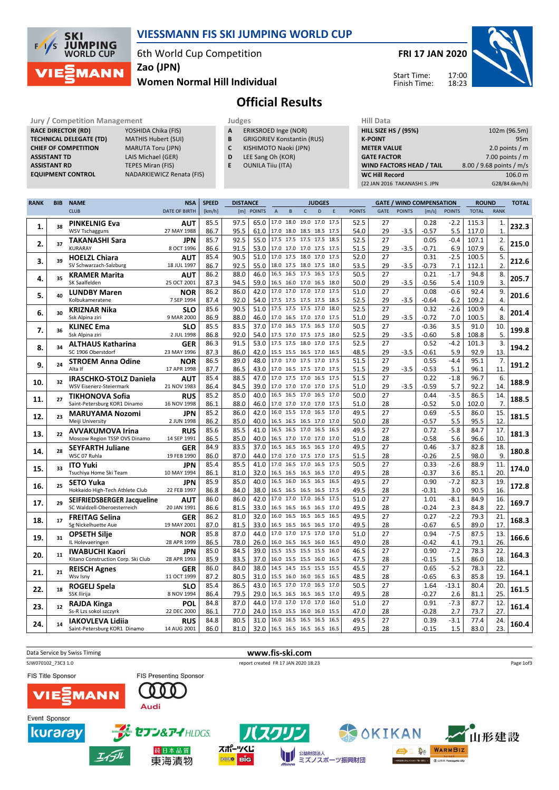

## VIESSMANN FIS SKI JUMPING WORLD CUP

6th World Cup Competition

Zao (JPN)

## Women Normal Hill Individual

FRI 17 JAN 2020



Start Time: Finish Time:

## Official Results

Jury / Competition Management<br> **RACE DIRECTOR (RD)** YOSHIDA Chika (FIS) **A** ERIKSROED Inge (NOR) **HILL SIZE** RACE DIRECTOR (RD) **TECHNICAL DELEGATE (TD)** MATHIS Hubert (SUI)<br> **CHIEF OF COMPETITION** MARUTA Toru (JPN) CHIEF OF COMPETITION ASSISTANT TD LAIS Michael (GER) **ASSISTANT RD** TEPES Miran (FIS)<br> **EQUIPMENT CONTROL** NADARKIEWICZ Re

NADARKIEWICZ Renata (FIS)

|   | Juugco |                      |
|---|--------|----------------------|
| А |        | ERIKSROED Inge (NOR) |

- **B** GRIGORIEV Konstantin (RUS)<br>**C** KISHIMOTO Naoki (JPN)
- **C** KISHIMOTO Naoki (JPN)<br>**D** LEE Sang Oh (KOR) LEE Sang Oh (KOR)
- E OUNILA Tiiu (ITA)
	-

| HIII Data                       |                          |
|---------------------------------|--------------------------|
| <b>HILL SIZE HS / (95%)</b>     | 102m (96.5m)             |
| <b>K-POINT</b>                  | 95m                      |
| <b>METER VALUE</b>              | 2.0 points $/m$          |
| <b>GATE FACTOR</b>              | 7.00 points $/m$         |
| <b>WIND FACTORS HEAD / TAIL</b> | 8.00 / 9.68 points / m/s |
| <b>WC Hill Record</b>           | 106.0 m                  |
| (22 JAN 2016 TAKANASHI S. JPN   | G28/84.6km/h)            |

| <b>RANK</b> | <b>BIB</b> | <b>NAME</b>                                         | <b>NSA</b>                | <b>SPEED</b> | <b>DISTANCE</b> |                               | <b>JUDGES</b>                    |              |                          | <b>GATE / WIND COMPENSATION</b> |      |               | <b>ROUND</b> |               | <b>TOTAL</b> |               |              |                    |       |
|-------------|------------|-----------------------------------------------------|---------------------------|--------------|-----------------|-------------------------------|----------------------------------|--------------|--------------------------|---------------------------------|------|---------------|--------------|---------------|--------------|---------------|--------------|--------------------|-------|
|             |            | <b>CLUB</b>                                         | <b>DATE OF BIRTH</b>      | [km/h]       |                 | [m] POINTS                    | $\overline{A}$                   | $\, {\bf B}$ | $\mathsf{C}$             | D                               | E    | <b>POINTS</b> | <b>GATE</b>  | <b>POINTS</b> | [m/s]        | <b>POINTS</b> | <b>TOTAL</b> | <b>RANK</b>        |       |
|             |            |                                                     | <b>AUT</b>                | 85.5         | 97.5            | 65.0   17.0 18.0 19.0 17.0    |                                  |              |                          |                                 | 17.5 | 52.5          | 27           |               | 0.28         | $-2.2$        | 115.3        |                    |       |
| 1.          | 38         | <b>PINKELNIG Eva</b><br><b>WSV Tschagguns</b>       | 27 MAY 1988               | 86.7         | 95.5            | 61.0                          |                                  |              | 17.0 18.0 18.5 18.5 17.5 |                                 |      | 54.0          | 29           | $-3.5$        | $-0.57$      | 5.5           | 117.0        | 1.<br>$\mathbf{1}$ | 232.3 |
|             |            |                                                     |                           | 85.7         | 92.5            | 55.0 17.5 17.5 17.5 17.5      |                                  |              |                          |                                 | 18.5 | 52.5          | 27           |               | 0.05         | $-0.4$        | 107.1        | 2.                 |       |
| 2.          | 37         | <b>TAKANASHI Sara</b><br><b>KURARAY</b>             | <b>JPN</b><br>8 OCT 1996  |              |                 |                               |                                  |              |                          |                                 |      |               |              |               |              |               |              | 6.                 | 215.0 |
|             |            |                                                     |                           | 86.6         | 91.5            | 53.0                          | 17.0 17.0 17.0 17.5 17.5         |              |                          |                                 |      | 51.5          | 29           | $-3.5$        | $-0.71$      | 6.9           | 107.9        |                    |       |
| 3.          | 39         | <b>HOELZL Chiara</b>                                | <b>AUT</b>                | 85.4         | 90.5            | 51.0                          | 17.0 17.5 18.0 17.0 17.5         |              |                          |                                 |      | 52.0          | 27           |               | 0.31         | $-2.5$        | 100.5        | 5.                 | 212.6 |
|             |            | SV Schwarzach-Salzburg                              | 18 JUL 1997               | 86.7         | 92.5            | 55.0                          |                                  |              | 18.0 17.5 18.0 17.5 18.0 |                                 |      | 53.5          | 29           | $-3.5$        | $-0.73$      | 7.1           | 112.1        | $\overline{2}$     |       |
| 4.          | 35         | <b>KRAMER Marita</b>                                | <b>AUT</b>                | 86.2         | 88.0            | 46.0                          | 16.5 16.5 17.5 16.5 17.5         |              |                          |                                 |      | 50.5          | 27           |               | 0.21         | $-1.7$        | 94.8         | 8.                 | 205.7 |
|             |            | SK Saalfelden                                       | 25 OCT 2001               | 87.3         | 94.5            | 59.0                          | 16.5 16.0 17.0 16.5 18.0         |              |                          |                                 |      | 50.0          | 29           | $-3.5$        | -0.56        | 5.4           | 110.9        | 3.                 |       |
| 5.          | 40         | <b>LUNDBY Maren</b>                                 | <b>NOR</b>                | 86.2         | 86.0            | 42.0                          | 17.0 17.0 17.0 17.0 17.5         |              |                          |                                 |      | 51.0          | 27           |               | 0.08         | $-0.6$        | 92.4         | 9.                 | 201.6 |
|             |            | Kolbukameratene                                     | 7 SEP 1994                | 87.4         | 92.0            | 54.0                          | 17.5 17.5 17.5 17.5 18.5         |              |                          |                                 |      | 52.5          | 29           | $-3.5$        | $-0.64$      | 6.2           | 109.2        | 4.                 |       |
| 6.          | 30         | <b>KRIZNAR Nika</b>                                 | <b>SLO</b>                | 85.6         | 90.5            | 51.0                          | 17.5 17.5 17.5 17.0 18.0         |              |                          |                                 |      | 52.5          | 27           |               | 0.32         | $-2.6$        | 100.9        | 4.                 | 201.4 |
|             |            | Ssk Alpina ziri                                     | 9 MAR 2000                | 86.9         | 88.0            | 46.0                          | 17.0 16.5 17.0 17.0 17.5         |              |                          |                                 |      | 51.0          | 29           | $-3.5$        | -0.72        | 7.0           | 100.5        | 8.                 |       |
| 7.          | 36         | <b>KLINEC Ema</b>                                   | <b>SLO</b>                | 85.5         | 83.5            | 37.0                          | 17.0 16.5 17.5 16.5              |              |                          |                                 | 17.0 | 50.5          | 27           |               | $-0.36$      | 3.5           | 91.0         | 10.                | 199.8 |
|             |            | Ssk Alpina ziri                                     | 2 JUL 1998                | 86.8         | 92.0            | 54.0 17.5 17.0 17.5 17.5 18.0 |                                  |              |                          |                                 |      | 52.5          | 29           | $-3.5$        | $-0.60$      | 5.8           | 108.8        | 5.                 |       |
| 8.          | 34         | <b>ALTHAUS Katharina</b>                            | GER                       | 86.3         | 91.5            | 53.0                          |                                  |              | 17.5 17.5 18.0 17.0      |                                 | 17.5 | 52.5          | 27           |               | 0.52         | $-4.2$        | 101.3        | 3.                 | 194.2 |
|             |            | SC 1906 Oberstdorf                                  | 23 MAY 1996               | 87.3         | 86.0            | 42.0                          | 15.5 15.5 16.5 17.0 16.5         |              |                          |                                 |      | 48.5          | 29           | $-3.5$        | $-0.61$      | 5.9           | 92.9         | 13.                |       |
| 9.          | 24         | <b>STROEM Anna Odine</b>                            | <b>NOR</b>                | 86.5         | 89.0            | 48.0                          | $\overline{17.0}$ 17.0 17.5 17.0 |              |                          |                                 | 17.5 | 51.5          | 27           |               | 0.55         | $-4.4$        | 95.1         | 7.                 | 191.2 |
|             |            | Alta If                                             | 17 APR 1998               | 87.7         | 86.5            |                               | 43.0 17.0 16.5 17.5 17.0 17.5    |              |                          |                                 |      | 51.5          | 29           | $-3.5$        | $-0.53$      | 5.1           | 96.1         | 11                 |       |
|             |            | <b>IRASCHKO-STOLZ Daniela</b>                       | <b>AUT</b>                | 85.4         | 88.5            | 47.0                          | 17.0 17.5 17.0 16.5              |              |                          |                                 | 17.5 | 51.5          | 27           |               | 0.22         | $-1.8$        | 96.7         | 6.                 |       |
| 10.         | 32         | WSV Eisenerz-Steiermark                             | 21 NOV 1983               | 86.4         | 84.5            | 39.0                          | 17.0 17.0 17.0 17.0 17.5         |              |                          |                                 |      | 51.0          | 29           | $-3.5$        | $-0.59$      | 5.7           | 92.2         | 14.                | 188.9 |
|             |            | <b>TIKHONOVA Sofia</b>                              | <b>RUS</b>                | 85.2         | 85.0            | 40.0                          |                                  |              | 16.5 16.5 17.0 16.5      |                                 | 17.0 | 50.0          | 27           |               | 0.44         | $-3.5$        | 86.5         | 14.                |       |
| 11.         | 27         | Saint-Petersburg KOR1 Dinamo                        | 16 NOV 1998               | 86.1         | 88.0            | 46.0                          |                                  |              | 17.0 17.0 17.0 17.0 17.5 |                                 |      | 51.0          | 28           |               | $-0.52$      | 5.0           | 102.0        | 7.                 | 188.5 |
|             |            | <b>MARUYAMA Nozomi</b>                              | <b>JPN</b>                | 85.2         | 86.0            | 42.0                          |                                  |              | 16.0 15.5 17.0 16.5      |                                 | 17.0 | 49.5          | 27           |               | 0.69         | $-5.5$        | 86.0         | 15.                |       |
| 12.         | 23         | Meiji University                                    | 2 JUN 1998                | 86.2         | 85.0            | 40.0                          |                                  |              | 16.5 16.5 16.5 17.0 17.0 |                                 |      | 50.0          | 28           |               | $-0.57$      | 5.5           | 95.5         | 12                 | 181.5 |
|             |            | <b>AVVAKUMOVA Irina</b>                             | <b>RUS</b>                | 85.6         | 85.5            | 41.0                          |                                  |              | 16.5 16.5 17.0 16.5 16.5 |                                 |      | 49.5          | 27           |               | 0.72         | $-5.8$        | 84.7         | 17.                |       |
| 13.         | 22         | Moscow Region TSSP OVS Dinamo                       | 14 SEP 1991               | 86.5         | 85.0            | 40.0                          | 16.5 17.0 17.0 17.0 17.0         |              |                          |                                 |      | 51.0          | 28           |               | $-0.58$      | 5.6           | 96.6         | 10.                | 181.3 |
|             |            | <b>SEYFARTH Juliane</b>                             | GER                       | 84.9         | 83.5            | 37.0                          |                                  |              | 16.5 16.5 16.5 16.5 17.0 |                                 |      | 49.5          | 27           |               | 0.46         | $-3.7$        | 82.8         | 18.                |       |
| 14.         | 28         | WSC 07 Ruhla                                        | 19 FEB 1990               | 86.0         | 87.0            |                               | 44.0 17.0 17.0 17.5 17.0 17.5    |              |                          |                                 |      | 51.5          | 28           |               | $-0.26$      | 2.5           | 98.0         | 9.                 | 180.8 |
|             |            |                                                     |                           | 85.4         | 85.5            | 41.0                          | 17.0 16.5 17.0 16.5 17.5         |              |                          |                                 |      | 50.5          | 27           |               | 0.33         | $-2.6$        | 88.9         | 11.                |       |
| 15.         | 33         | <b>ITO Yuki</b><br>Tsuchiya Home Ski Team           | JPN<br>10 MAY 1994        | 86.1         | 81.0            |                               | 32.0 16.5 16.5 16.5 16.5         |              |                          |                                 | 17.0 | 49.5          | 28           |               | $-0.37$      | 3.6           | 85.1         | 20.                | 174.0 |
|             |            |                                                     |                           | 85.9         | 85.0            | 40.0                          |                                  |              | 16.5 16.0 16.5 16.5 16.5 |                                 |      | 49.5          | 27           |               | 0.90         | $-7.2$        | 82.3         | 19.                |       |
| 16.         | 25         | <b>SETO Yuka</b><br>Hokkaido High-Tech Athlete Club | <b>JPN</b><br>22 FEB 1997 | 86.8         | 84.0            | 38.0                          |                                  |              | 16.5 16.5 16.5 16.5      |                                 | 17.5 | 49.5          | 28           |               | $-0.31$      | 3.0           | 90.5         | 16.                | 172.8 |
|             |            |                                                     |                           |              |                 | 42.0                          |                                  |              | 17.0 17.0 17.0 16.5 17.5 |                                 |      | 51.0          | 27           |               |              |               | 84.9         | 16.                |       |
| 17.         | 29         | <b>SEIFRIEDSBERGER Jacqueline</b>                   | <b>AUT</b>                | 86.0         | 86.0            |                               |                                  |              |                          |                                 |      |               |              |               | 1.01         | $-8.1$        |              |                    | 169.7 |
|             |            | SC Waldzell-Oberoesterreich                         | 20 JAN 1991               | 86.6         | 81.5            | 33.0                          | 16.5 16.5 16.5 16.5              |              |                          |                                 | 17.0 | 49.5          | 28           |               | $-0.24$      | 2.3           | 84.8         | 22.                |       |
| 18.         | 17         | <b>FREITAG Selina</b>                               | <b>GER</b>                | 86.2         | 81.0            | 32.0                          |                                  |              | 16.0 16.5 16.5 16.5      |                                 | 16.5 | 49.5          | 27           |               | 0.27         | $-2.2$        | 79.3         | 21.                | 168.3 |
|             |            | Sg Nickelhuette Aue                                 | 19 MAY 2001               | 87.0         | 81.5            | 33.0                          |                                  |              | 16.5 16.5 16.5 16.5      |                                 | 17.0 | 49.5          | 28           |               | $-0.67$      | 6.5           | 89.0         | 17.                |       |
| 19.         | 31         | <b>OPSETH Silje</b>                                 | <b>NOR</b>                | 85.8         | 87.0            | 44.0                          |                                  |              | 17.0 17.0 17.5 17.0      |                                 | 17.0 | 51.0          | 27           |               | 0.94         | $-7.5$        | 87.5         | 13.                | 166.6 |
|             |            | IL Holevaeringen                                    | 28 APR 1999               | 86.5         | 78.0            | 26.0                          |                                  |              | 16.0 16.5 16.5 16.0      |                                 | 16.5 | 49.0          | 28           |               | $-0.42$      | 4.1           | 79.1         | 26.                |       |
| 20.         | 11         | <b>IWABUCHI Kaori</b>                               | JPN                       | 85.0         | 84.5            | 39.0                          |                                  |              | 15.5 15.5 15.5 15.5      |                                 | 16.0 | 46.5          | 27           |               | 0.90         | $-7.2$        | 78.3         | 22.                | 164.3 |
|             |            | Kitano Construction Corp. Ski Club                  | 28 APR 1993               | 85.9         | 83.5            | 37.0                          |                                  |              | 16.0 15.5 15.5 16.0      |                                 | 16.5 | 47.5          | 28           |               | $-0.15$      | 1.5           | 86.0         | 18.                |       |
| 21.         | 21         | <b>REISCH Agnes</b>                                 | <b>GER</b>                | 86.0         | 84.0            | 38.0                          | 14.5 14.5 15.5 15.5              |              |                          |                                 | 15.5 | 45.5          | 27           |               | 0.65         | $-5.2$        | 78.3         | 22.                | 164.1 |
|             |            | Wsv Isny                                            | 11 OCT 1999               | 87.2         | 80.5            | 31.0                          |                                  |              | 15.5 16.0 16.0 16.5      |                                 | 16.5 | 48.5          | 28           |               | $-0.65$      | 6.3           | 85.8         | 19.                |       |
| 22.         | 18         | <b>ROGELJ Spela</b>                                 | <b>SLO</b>                | 85.4         | 86.5            | 43.0                          | 16.5 17.0 17.0 16.5              |              |                          |                                 | 17.0 | 50.5          | 27           |               | 1.64         | $-13.1$       | 80.4         | 20.                | 161.5 |
|             |            | SSK Ilirija                                         | 8 NOV 1994                | 86.4         | 79.5            | 29.0                          |                                  |              | 16.5 16.5 16.5 16.5      |                                 | 17.0 | 49.5          | 28           |               | $-0.27$      | 2.6           | 81.1         | 25.                |       |
| 23.         | $12$       | <b>RAJDA Kinga</b>                                  | POL                       | 84.8         | 87.0            | 44.0                          |                                  |              | 17.0 17.0 17.0 17.0      |                                 | 16.0 | 51.0          | 27           |               | 0.91         | $-7.3$        | 87.7         | 12.                | 161.4 |
|             |            | Ss-R Lzs sokol szczyrk                              | 22 DEC 2000               | 86.1         | 77.0            | 24.0                          |                                  |              | 15.0 15.5 16.0 16.0      |                                 | 15.5 | 47.0          | 28           |               | $-0.28$      | 2.7           | 73.7         | 27.                |       |
| 24.         | 14         | <b>IAKOVLEVA Lidija</b>                             | <b>RUS</b>                | 84.8         | 80.5            | 31.0                          |                                  |              | 16.0 16.5 16.5 16.5      |                                 | 16.5 | 49.5          | 27           |               | 0.39         | $-3.1$        | 77.4         | 24.                | 160.4 |
|             |            | Saint-Petersburg KOR1 Dinamo                        | 14 AUG 2001               | 86.0         | 81.0            | 32.0 16.5 16.5 16.5 16.5 16.5 |                                  |              |                          |                                 |      | 49.5          | 28           |               | $-0.15$      | 1.5           | 83.0         | 23.                |       |

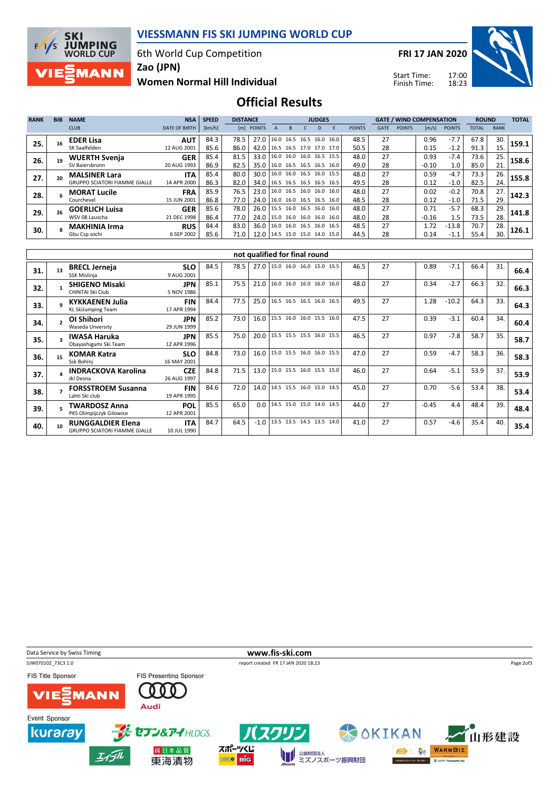

6th World Cup Competition



FRI 17 JAN 2020

Start Time: Finish Time:



Women Normal Hill Individual Zao (JPN)

Official Results

| <b>RANK</b> | <b>BIB</b> | <b>NAME</b>                          | <b>NSA</b>           | <b>SPEED</b> | <b>JUDGES</b> |                                 |  |              |  |    | <b>GATE / WIND COMPENSATION</b> |               |             |               | <b>ROUND</b> |               | <b>TOTAL</b> |             |       |
|-------------|------------|--------------------------------------|----------------------|--------------|---------------|---------------------------------|--|--------------|--|----|---------------------------------|---------------|-------------|---------------|--------------|---------------|--------------|-------------|-------|
|             |            | <b>CLUB</b>                          | <b>DATE OF BIRTH</b> | [km/h]       |               | [m] POINTS                      |  | <sub>B</sub> |  | D. |                                 | <b>POINTS</b> | <b>GATE</b> | <b>POINTS</b> | [m/s]        | <b>POINTS</b> | TOTAL        | <b>RANK</b> |       |
| 25.         |            | <b>EDER Lisa</b>                     | <b>AUT</b>           | 84.3         | 78.5          | 27.0                            |  |              |  |    | 16.0 16.5 16.5 16.0 16.0        | 48.5          | 27          |               | 0.96         | $-7.7$        | 67.8         | 30.         | 159.1 |
|             |            | SK Saalfelden                        | 12 AUG 2001          | 85.6         | 86.0          | 42.0                            |  |              |  |    | 16.5 16.5 17.0 17.0 17.0        | 50.5          | 28          |               | 0.15         | $-1.2$        | 91.3         | 15.         |       |
| 26.         |            | <b>WUERTH Svenja</b>                 | <b>GER</b>           | 85.4         | 81.5          | 33.0                            |  |              |  |    | 16.0 16.0 16.0 16.5 15.5        | 48.0          | 27          |               | 0.93         | $-7.4$        | 73.6         | 25.         | 158.6 |
|             |            | SV Baiersbronn                       | 20 AUG 1993          | 86.9         | 82.5          | 35.0                            |  |              |  |    | 16.0 16.5 16.5 16.5 16.0        | 49.0          | 28          |               | $-0.10$      | 1.0           | 85.0         | 21.         |       |
| 27.         | 20         | <b>MALSINER Lara</b>                 | <b>ITA</b>           | 85.4         | 80.0          | 30.01                           |  |              |  |    | 16.0 16.0 16.5 16.0 15.5        | 48.0          | 27          |               | 0.59         | $-4.7$        | 73.3         | 26.         | 155.8 |
|             |            | <b>GRUPPO SCIATORI FIAMME GIALLE</b> | 14 APR 2000          | 86.3         | 82.0          | 34.0   16.5 16.5 16.5 16.5 16.5 |  |              |  |    |                                 | 49.5          | 28          |               | 0.12         | $-1.0$        | 82.5         | 24.         |       |
| 28.         |            | <b>MORAT Lucile</b>                  | <b>FRA</b>           | 85.9         | 76.5          | 23.0                            |  |              |  |    | 16.0 16.5 16.0 16.0 16.0        | 48.0          | 27          |               | 0.02         | $-0.2$        | 70.8         | 27.         | 142.3 |
|             |            | Courchevel                           | 15 JUN 2001          | 86.8         | 77.0          | 24.0 16.0 16.0 16.5 16.5 16.0   |  |              |  |    |                                 | 48.5          | 28          |               | 0.12         | $-1.0$        | 71.5         | 29.         |       |
| 29.         |            | <b>GOERLICH Luisa</b>                | <b>GER</b>           | 85.6         | 78.0          | 26.0   15.5 16.0 16.5 16.0 16.0 |  |              |  |    |                                 | 48.0          | 27          |               | 0.71         | $-5.7$        | 68.3         | 29.         | 141.8 |
|             |            | WSV 08 Lauscha                       | 21 DEC 1998          | 86.4         | 77.0          | 24.0   15.0 16.0 16.0 16.0 16.0 |  |              |  |    |                                 | 48.0          | 28          |               | $-0.16$      | 1.5           | 73.5         | 28.         |       |
| 30.         |            | <b>MAKHINIA Irma</b>                 | <b>RUS</b>           | 84.4         | 83.0          | 36.0   16.0 16.0 16.5 16.0 16.5 |  |              |  |    |                                 | 48.5          | 27          |               | 1.72         | $-13.8$       | 70.7         | 28.         | 126.1 |
|             |            | Gbu Csp sochi                        | 6 SEP 2002           | 85.6         | 71.0          | 12.0 14.5 15.0 15.0 14.0 15.0   |  |              |  |    |                                 | 44.5          | 28          |               | 0.14         | -1.1          | 55.4         | 30.         |       |

|     | not qualified for final round |                                                                  |                           |      |      |        |                          |  |  |      |    |         |         |      |     |      |
|-----|-------------------------------|------------------------------------------------------------------|---------------------------|------|------|--------|--------------------------|--|--|------|----|---------|---------|------|-----|------|
| 31. | 13                            | <b>BRECL Jerneja</b><br>SSK Mislinja                             | <b>SLO</b><br>9 AUG 2001  | 84.5 | 78.5 | 27.0   | 15.0 16.0 16.0 15.0 15.5 |  |  | 46.5 | 27 | 0.89    | $-7.1$  | 66.4 | 31. | 66.4 |
| 32. |                               | <b>SHIGENO Misaki</b><br>CHINTAI Ski Club                        | <b>JPN</b><br>5 NOV 1986  | 85.1 | 75.5 | 21.0   | 16.0 16.0 16.0 16.0 16.0 |  |  | 48.0 | 27 | 0.34    | $-2.7$  | 66.3 | 32. | 66.3 |
| 33. |                               | <b>KYKKAENEN Julia</b><br><b>KL SkiJumping Team</b>              | <b>FIN</b><br>17 APR 1994 | 84.4 | 77.5 | 25.0   | 16.5 16.5 16.5 16.0 16.5 |  |  | 49.5 | 27 | 1.28    | $-10.2$ | 64.3 | 33. | 64.3 |
| 34. |                               | OI Shihori<br>Waseda Unversity                                   | <b>JPN</b><br>29 JUN 1999 | 85.2 | 73.0 | 16.0   | 15.5 16.0 16.0 15.5 16.0 |  |  | 47.5 | 27 | 0.39    | $-3.1$  | 60.4 | 34. | 60.4 |
| 35. |                               | <b>IWASA Haruka</b><br>Obayashigumi Ski Team                     | <b>JPN</b><br>12 APR 1996 | 85.5 | 75.0 | 20.0   | 15.5 15.5 15.5 16.0 15.5 |  |  | 46.5 | 27 | 0.97    | $-7.8$  | 58.7 | 35. | 58.7 |
| 36. | 15                            | <b>KOMAR Katra</b><br>Ssk Bohinj                                 | <b>SLO</b><br>16 MAY 2001 | 84.8 | 73.0 | 16.0   | 15.0 15.5 16.0 16.0 15.5 |  |  | 47.0 | 27 | 0.59    | $-4.7$  | 58.3 | 36. | 58.3 |
| 37. |                               | <b>INDRACKOVA Karolina</b><br>Jkl Desna                          | <b>CZE</b><br>26 AUG 1997 | 84.8 | 71.5 | 13.0   | 15.0 15.5 16.0 15.5 15.0 |  |  | 46.0 | 27 | 0.64    | $-5.1$  | 53.9 | 37. | 53.9 |
| 38. |                               | <b>FORSSTROEM Susanna</b><br>Lahti Ski club                      | <b>FIN</b><br>19 APR 1995 | 84.6 | 72.0 | 14.0   | 14.5 15.5 16.0 15.0 14.5 |  |  | 45.0 | 27 | 0.70    | $-5.6$  | 53.4 | 38. | 53.4 |
| 39. |                               | <b>TWARDOSZ Anna</b><br>PKS Olimpijczyk Gilowice                 | <b>POL</b><br>12 APR 2001 | 85.5 | 65.0 | 0.0    | 14.5 15.0 15.0 14.0 14.5 |  |  | 44.0 | 27 | $-0.45$ | 4.4     | 48.4 | 39. | 48.4 |
| 40. | 10                            | <b>RUNGGALDIER Elena</b><br><b>GRUPPO SCIATORI FIAMME GIALLE</b> | <b>ITA</b><br>10 JUL 1990 | 84.7 | 64.5 | $-1.0$ | 13.5 13.5 14.5 13.5 14.0 |  |  | 41.0 | 27 | 0.57    | $-4.6$  | 35.4 | 40. | 35.4 |